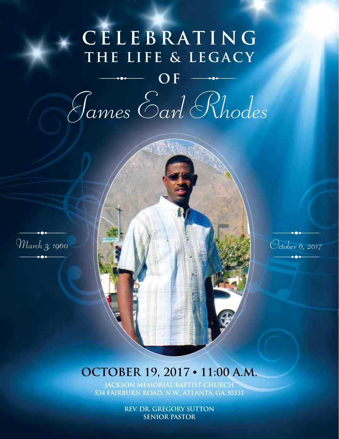## **C E L E B R AT I N G**  THE LIFE & LEGACY

**O F** *James Earl Rhodes*





#### **OCTOBER 19, 2017 • 11:00 A.M.**

**JACKSON MEMORIAL BAPTIST CHURCH 534 FAIRBURN ROAD, N.W., ATLANTA, GA 30331**

> **REV. DR. GREGORY SUTTON SENIOR PASTOR**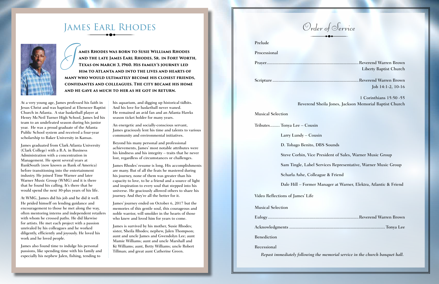### James Earl Rhodes



**ames Rhodes was born to Susie Williams Rhodes and the late James Earl Rhodes, Sr. in Fort Worth, Texas on March 3, 1960. His family's journey led him to Atlanta and into the lives and hearts of many who would ultimately become his closest friends, confidantes and colleagues. The city became his home and he gave as much to her as he got in return.** *J*

At a very young age, James professed his faith in Jesus Christ and was baptized at Ebenezer Baptist Church in Atlanta. A star basketball player at Henry McNeil Turner High School, James led his team to an undefeated season during his junior year. He was a proud graduate of the Atlanta Public School system and received a four-year scholarship to Baker University in Kansas.

James graduated from Clark Atlanta University (Clark College) with a B.A. in Business Administration with a concentration in Management. He spent several years at BankSouth (now known as Bank of America) before transitioning into the entertainment industry. He joined Time Warner and later Warner Music Group (WMG) and it is there that he found his calling. It's there that he would spend the next 30-plus years of his life.

At WMG, James did his job and he did it well. He prided himself on lending guidance and encouragement to those he met along the way, often mentoring interns and independent retailers with whom he crossed paths. He did likewise for artists. He met each project with a passion unrivaled by his colleagues and he worked diligently, efficiently and joyously. He loved his work and he loved people.

James also found time to indulge his personal passions, like spending time with his family and especially his nephew Jalen, fishing, tending to

his aquarium, and digging up historical tidbits. And his love for basketball never waned. He remained an avid fan and an Atlanta Hawks season ticket holder for many years.

An energetic and socially-conscious servant, James graciously lent his time and talents to various community and environmental initiatives.

Beyond his many personal and professional achievements, James' most notable attributes were his kindness and his integrity – traits that he never lost, regardless of circumstances or challenges.

James Rhodes' resume is long. His accomplishments are many. But of all the feats he mastered during his journey, none of them was greater than his capacity to love, to be a friend and a source of light and inspiration to every soul that stepped into his universe. He graciously allowed others to share his journey. And they're all the better for it.

James' journey ended on October 6, 2017 but the memories of this gentle soul, this courageous and noble warrior, will smolder in the hearts of those who knew and loved him for years to come.

James is survived by his mother, Susie Rhodes; sister, Sheila Rhodes; nephew, Jalen Thompson; aunt and uncle James and Gwendolyn Lee; aunt Mamie Williams; aunt and uncle Marshall and Kt Williams; aunt, Betty Williams; uncle Robert Tillman; and great aunt Catherine Green.

Liberty Baptist Church

Job 14:1-2, 10-16

1 Corinthians 15:50 -55 Reverend Sheila Jones, Jackson Memorial Baptist Church

Steve Corbin, Vice President of Sales, Warner Music Group

# Prelude Processional Prayer.............................................................................Reverend Warren Brown Scripture ........................................................................Reverend Warren Brown Musical Selection Tributes........ Tonya Lee – Cousin Larry Lundy – Cousin D. Tobago Benito, DBS Sounds Scharla Ashe, Colleague & Friend Video Reflections of James' Life Musical Selection Eulogy............................................................................Reverend Warren Brown Acknowledgments ................................................................................ Tonya Lee Benediction Recessional *Repast immediately following the memorial service in the church banquet hall. Order of Service*

Sam Tingle, Label Services Representative, Warner Music Group

Dale Hill – Former Manager at Warner, Elektra, Atlantic & Friend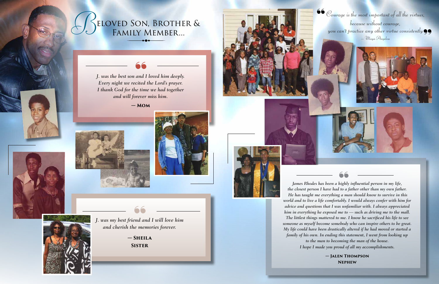**— Sheila Sister** 66<br>nd a<br>e me<br>SHEI<br>ISTE





**— Mom**







*J. was my best friend and I will love him and cherish the memories forever.*

**66** Courage is the most important of all the virtues,<br>
because without courage,<br>
you can't practice any other virtue consistently *because without courage, yourage is the most important of all the virtues,<br>because without courage,<br>you can't practice any other virtue consistently – Maya Angelou*



*James Rhodes has been a highly influential person in my life, the closest person I have had to a father other than my own father. He has taught me everything a man should know to survive in this world and to live a life comfortably. I would always confer with him for advice and questions that I was unfamiliar with. I always appreciated him in everything he exposed me to — such as driving me to the mall. The littlest things mattered to me. I know he sacrificed his life to see someone as myself become somebody who can inspire others to be great. My life could have been drastically altered if he had moved or started a family of his own. In ending this statement, I went from looking up to the man to becoming the man of the house. I hope I made you proud of all my accomplishments.* "

> **— Jalen Thompson Nephew**



*J. was the best son and I loved him deeply. Every night we recited the Lord's prayer. I thank God for the time we had together and will forever miss him.* **66**<br>
and<br>
cited<br>
e tim<br>
rever<br> **MO**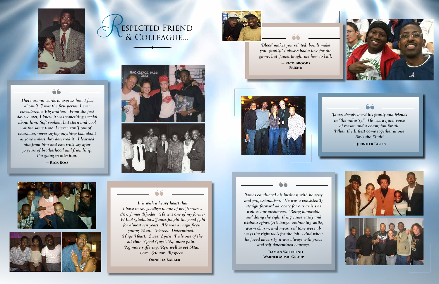*It is with a heavy heart that l have to say goodbye to one of my Heroes... Mr. James Rhodes. He was one of my former WEA Gladiators. James fought the good fight for almost ten years. He was a magnificent young Man... Fierce...Determined... Huge Heart...Sweet Spirit. Truly one of the all-time "Good Guys". No more pain... No more suffering. Rest well sweet Man. Love...Honor...Respect.*

**— Ornetta Barber**



*James deeply loved his family and friends in "the industry." He was a quiet voice of reason and a champion for all. When the littlest come together as one, Sky's the Limit!* 66<br>| his<br>| He<br>| chu<br>| com<br>| the

*Blood makes you related, bonds make you "family." I always had a love for the game, but James taught me how to ball.* 66<br>| rela<br>| rela<br>| rangi<br>| 0 BR<br>| RIEN

**— Damon Valentino Warner Music Group**



**— Jennifer Pasley**



# espected Friend *R*& Colleague...













*There are no words to express how I feel about J. J was the first person I ever considered a Big brother. From the first day we met, I knew it was something special about him. Soft spoken, but stern and cool at the same time. I never saw J out of character, never saying anything bad about anyone unless they deserved it. I learned alot from him and can truly say after 30 years of brotherhood and friendship, I'm going to miss him.* **— Rick Ross**

66<br>ds to<br>the f<br>brotl<br>it w

**— Rico Brooks Friend**



Tames conducted his business with honesty<br>a heavy heart that<br>bye to one of my Heroes...<br>Fe was one of my former<br>Tames fought the good fight<br>Tames fought the good fight<br>without effort. His laugh, embracing smile, *and professionalism. He was a consistently straightforward advocate for our artists as well as our customers. Being honorable and doing the right thing came easily and without effort. His laugh, embracing smile, warm charm, and measured tone were always the right tools for the job. And when he faced adversity, it was always with grace and self-determined courage.* 66<br>is bi<br>voca<br>iers.